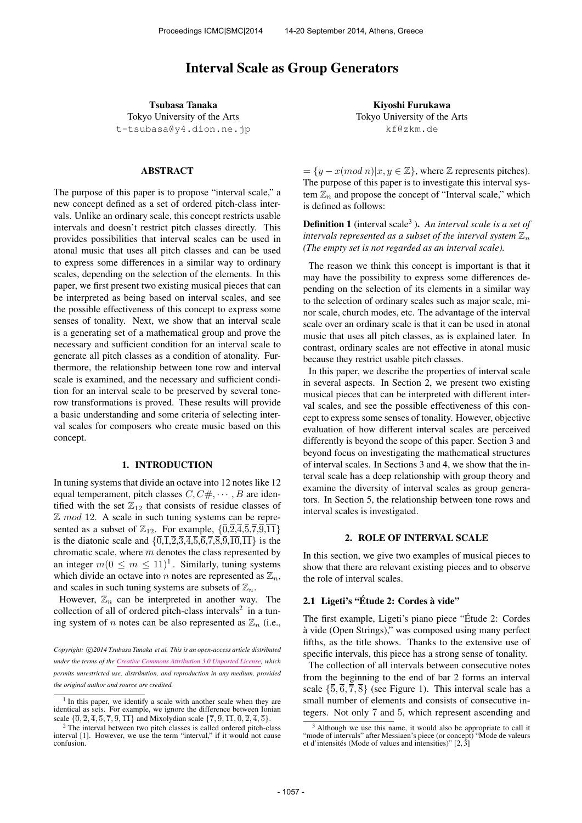# Interval Scale as Group Generators

Tsubasa Tanaka Tokyo University of the Arts t-tsubasa@y4.dion.ne.jp

#### ABSTRACT

The purpose of this paper is to propose "interval scale," a new concept defined as a set of ordered pitch-class intervals. Unlike an ordinary scale, this concept restricts usable intervals and doesn't restrict pitch classes directly. This provides possibilities that interval scales can be used in atonal music that uses all pitch classes and can be used to express some differences in a similar way to ordinary scales, depending on the selection of the elements. In this paper, we first present two existing musical pieces that can be interpreted as being based on interval scales, and see the possible effectiveness of this concept to express some senses of tonality. Next, we show that an interval scale is a generating set of a mathematical group and prove the necessary and sufficient condition for an interval scale to generate all pitch classes as a condition of atonality. Furthermore, the relationship between tone row and interval scale is examined, and the necessary and sufficient condition for an interval scale to be preserved by several tonerow transformations is proved. These results will provide a basic understanding and some criteria of selecting interval scales for composers who create music based on this concept.

### 1. INTRODUCTION

In tuning systems that divide an octave into 12 notes like 12 equal temperament, pitch classes  $C, C \#$ ,  $\cdots$ , B are identified with the set  $\mathbb{Z}_{12}$  that consists of residue classes of  $\mathbb Z$  mod 12. A scale in such tuning systems can be represented as a subset of  $\mathbb{Z}_{12}$ . For example,  $\{\overline{0},\overline{2},\overline{4},\overline{5},\overline{7},\overline{9},\overline{11}\}$ is the diatonic scale and  $\{\overline{0,1},\overline{2,3},\overline{4,5},\overline{6,7},\overline{8,9},\overline{10,11}\}$  is the chromatic scale, where  $\overline{m}$  denotes the class represented by an integer  $m(0 \le m \le 11)^1$ . Similarly, tuning systems which divide an octave into n notes are represented as  $\mathbb{Z}_n$ , and scales in such tuning systems are subsets of  $\mathbb{Z}_n$ .

However,  $\mathbb{Z}_n$  can be interpreted in another way. The collection of all of ordered pitch-class intervals<sup>2</sup> in a tuning system of *n* notes can be also represented as  $\mathbb{Z}_n$  (i.e.,

Kiyoshi Furukawa Tokyo University of the Arts kf@zkm.de

 $=\{y-x(mod\ n)|x,y\in\mathbb{Z}\}$ , where  $\mathbb Z$  represents pitches). The purpose of this paper is to investigate this interval system  $\mathbb{Z}_n$  and propose the concept of "Interval scale," which is defined as follows:

**Definition 1** (interval scale<sup>3</sup>). An interval scale is a set of *intervals represented as a subset of the interval system*  $\mathbb{Z}_n$ *(The empty set is not regarded as an interval scale).*

The reason we think this concept is important is that it may have the possibility to express some differences depending on the selection of its elements in a similar way to the selection of ordinary scales such as major scale, minor scale, church modes, etc. The advantage of the interval scale over an ordinary scale is that it can be used in atonal music that uses all pitch classes, as is explained later. In contrast, ordinary scales are not effective in atonal music because they restrict usable pitch classes.

In this paper, we describe the properties of interval scale in several aspects. In Section 2, we present two existing musical pieces that can be interpreted with different interval scales, and see the possible effectiveness of this concept to express some senses of tonality. However, objective evaluation of how different interval scales are perceived differently is beyond the scope of this paper. Section 3 and beyond focus on investigating the mathematical structures of interval scales. In Sections 3 and 4, we show that the interval scale has a deep relationship with group theory and examine the diversity of interval scales as group generators. In Section 5, the relationship between tone rows and interval scales is investigated.

#### 2. ROLE OF INTERVAL SCALE

In this section, we give two examples of musical pieces to show that there are relevant existing pieces and to observe the role of interval scales.

# 2.1 Ligeti's "Étude 2: Cordes à vide"

The first example, Ligeti's piano piece "Étude 2: Cordes a vide (Open Strings)," was composed using many perfect ` fifths, as the title shows. Thanks to the extensive use of specific intervals, this piece has a strong sense of tonality.

The collection of all intervals between consecutive notes from the beginning to the end of bar 2 forms an interval scale  $\{\overline{5}, \overline{6}, \overline{7}, \overline{8}\}$  (see Figure 1). This interval scale has a small number of elements and consists of consecutive integers. Not only  $\overline{7}$  and  $\overline{5}$ , which represent ascending and

*Copyright:* ⃝c *2014 Tsubasa Tanaka et al. This is an open-access article distributed under the terms of the Creative Commons Attribution 3.0 Unported License, which permits unrestricted use, distribution, and reproduction in any medium, provided the original author and source are credited.*

<sup>&</sup>lt;sup>1</sup> In this paper, we identify a scale with another scale when they are identical as sets. For example, we ignore the difference between Ionian scale  $\{\overline{0}, \overline{2}, \overline{4}, \overline{5}, \overline{7}, \overline{9}, \overline{11}\}$  and Mixolydian scale  $\{\overline{7}, \overline{9}, \overline{11}, \overline{0}, \overline{2}, \overline{4}, \overline{5}\}$ .

<sup>2</sup> The interval between two pitch classes is called ordered pitch-class interval [1]. However, we use the term "interval," if it would not cause confusion.

<sup>3</sup> Although we use this name, it would also be appropriate to call it "mode of intervals" after Messiaen's piece (or concept) "Mode de valeurs et d'intensités (Mode of values and intensities)"  $[2, 3]$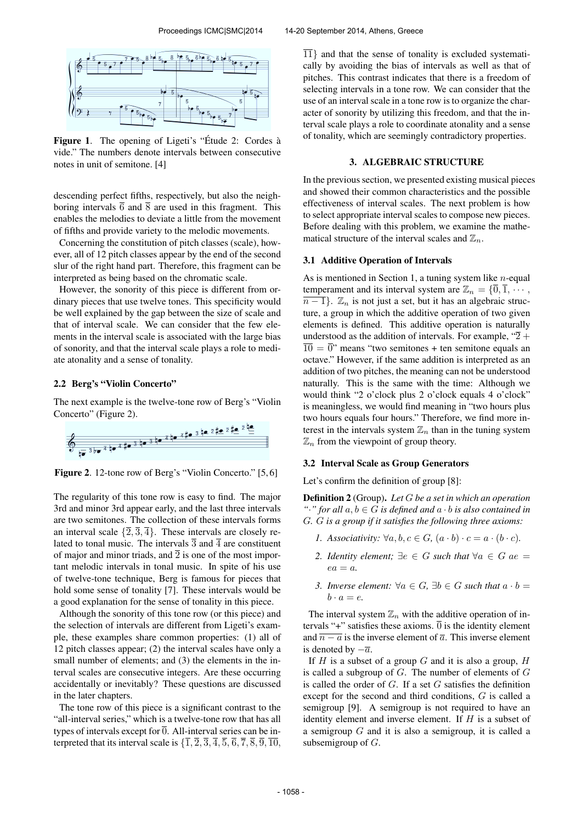

Figure 1. The opening of Ligeti's "Étude 2: Cordes à vide." The numbers denote intervals between consecutive notes in unit of semitone. [4]

descending perfect fifths, respectively, but also the neighboring intervals  $\overline{6}$  and  $\overline{8}$  are used in this fragment. This enables the melodies to deviate a little from the movement of fifths and provide variety to the melodic movements.

Concerning the constitution of pitch classes (scale), however, all of 12 pitch classes appear by the end of the second slur of the right hand part. Therefore, this fragment can be interpreted as being based on the chromatic scale.

However, the sonority of this piece is different from ordinary pieces that use twelve tones. This specificity would be well explained by the gap between the size of scale and that of interval scale. We can consider that the few elements in the interval scale is associated with the large bias of sonority, and that the interval scale plays a role to mediate atonality and a sense of tonality.

# 2.2 Berg's "Violin Concerto"

The next example is the twelve-tone row of Berg's "Violin Concerto" (Figure 2).



Figure 2. 12-tone row of Berg's "Violin Concerto." [5, 6]

The regularity of this tone row is easy to find. The major 3rd and minor 3rd appear early, and the last three intervals are two semitones. The collection of these intervals forms an interval scale  $\{\overline{2}, \overline{3}, \overline{4}\}$ . These intervals are closely related to tonal music. The intervals  $\overline{3}$  and  $\overline{4}$  are constituent of major and minor triads, and  $\overline{2}$  is one of the most important melodic intervals in tonal music. In spite of his use of twelve-tone technique, Berg is famous for pieces that hold some sense of tonality [7]. These intervals would be a good explanation for the sense of tonality in this piece.

Although the sonority of this tone row (or this piece) and the selection of intervals are different from Ligeti's example, these examples share common properties: (1) all of 12 pitch classes appear; (2) the interval scales have only a small number of elements; and (3) the elements in the interval scales are consecutive integers. Are these occurring accidentally or inevitably? These questions are discussed in the later chapters.

The tone row of this piece is a significant contrast to the "all-interval series," which is a twelve-tone row that has all types of intervals except for  $\overline{0}$ . All-interval series can be interpreted that its interval scale is  $\{\overline{1}, \overline{2}, \overline{3}, \overline{4}, \overline{5}, \overline{6}, \overline{7}, \overline{8}, \overline{9}, \overline{10}, \overline{4}\}$   $\overline{11}$  and that the sense of tonality is excluded systematically by avoiding the bias of intervals as well as that of pitches. This contrast indicates that there is a freedom of selecting intervals in a tone row. We can consider that the use of an interval scale in a tone row is to organize the character of sonority by utilizing this freedom, and that the interval scale plays a role to coordinate atonality and a sense of tonality, which are seemingly contradictory properties.

#### 3. ALGEBRAIC STRUCTURE

In the previous section, we presented existing musical pieces and showed their common characteristics and the possible effectiveness of interval scales. The next problem is how to select appropriate interval scales to compose new pieces. Before dealing with this problem, we examine the mathematical structure of the interval scales and  $\mathbb{Z}_n$ .

### 3.1 Additive Operation of Intervals

As is mentioned in Section 1, a tuning system like  $n$ -equal temperament and its interval system are  $\mathbb{Z}_n = \{\overline{0}, \overline{1}, \cdots, \}$  $\overline{n-1}$ .  $\mathbb{Z}_n$  is not just a set, but it has an algebraic structure, a group in which the additive operation of two given elements is defined. This additive operation is naturally understood as the addition of intervals. For example, " $\overline{2}$  +  $\overline{10} = \overline{0}$ " means "two semitones + ten semitone equals an octave." However, if the same addition is interpreted as an addition of two pitches, the meaning can not be understood naturally. This is the same with the time: Although we would think "2 o'clock plus 2 o'clock equals 4 o'clock" is meaningless, we would find meaning in "two hours plus two hours equals four hours." Therefore, we find more interest in the intervals system  $\mathbb{Z}_n$  than in the tuning system  $\mathbb{Z}_n$  from the viewpoint of group theory.

# 3.2 Interval Scale as Group Generators

Let's confirm the definition of group [8]:

Definition 2 (Group). *Let* G *be a set in which an operation "*·*"* for all  $a, b \in G$  *is defined and*  $a \cdot b$  *is also contained in* G*.* G *is a group if it satisfies the following three axioms:*

- *1.* Associativity:  $\forall a, b, c \in G, (a \cdot b) \cdot c = a \cdot (b \cdot c)$ .
- 2. Identity element;  $∃e ∈ G$  such that  $∀a ∈ G$  ae =  $ea = a$ .
- *3. Inverse element:*  $\forall a \in G$ ,  $\exists b \in G$  *such that*  $a \cdot b =$  $b \cdot a = e$ .

The interval system  $\mathbb{Z}_n$  with the additive operation of intervals "+" satisfies these axioms.  $\overline{0}$  is the identity element and  $\overline{n-a}$  is the inverse element of  $\overline{a}$ . This inverse element is denoted by  $-\overline{a}$ .

If  $H$  is a subset of a group  $G$  and it is also a group,  $H$ is called a subgroup of  $G$ . The number of elements of  $G$ is called the order of  $G$ . If a set  $G$  satisfies the definition except for the second and third conditions, G is called a semigroup [9]. A semigroup is not required to have an identity element and inverse element. If  $H$  is a subset of a semigroup  $G$  and it is also a semigroup, it is called a subsemigroup of G.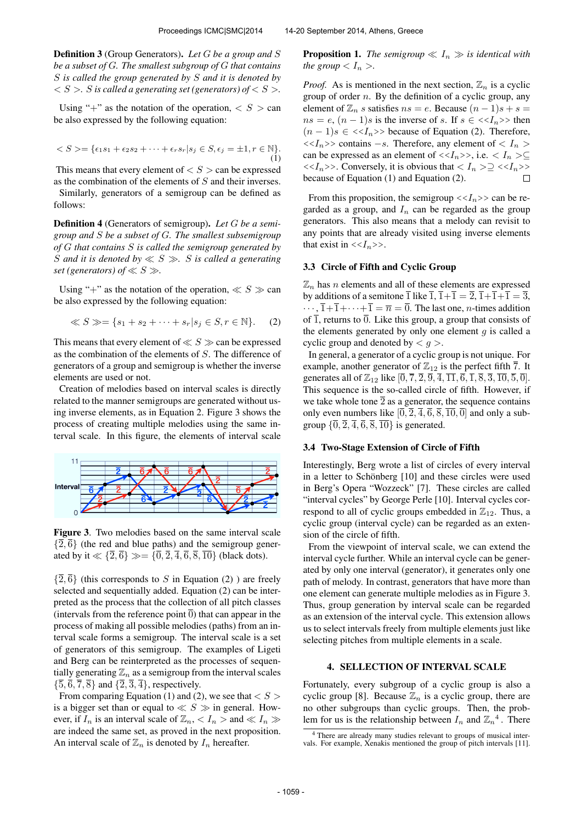Definition 3 (Group Generators). *Let* G *be a group and* S *be a subset of* G*. The smallest subgroup of* G *that contains* S *is called the group generated by* S *and it is denoted by*  $S > S$  *is called a generating set (generators) of*  $S > S$ .

Using "+" as the notation of the operation,  $\langle S \rangle$  can be also expressed by the following equation:

$$
\langle S \rangle = \{ \epsilon_1 s_1 + \epsilon_2 s_2 + \dots + \epsilon_r s_r | s_j \in S, \epsilon_j = \pm 1, r \in \mathbb{N} \}. \tag{1}
$$

This means that every element of  $\langle S \rangle$  can be expressed as the combination of the elements of S and their inverses.

Similarly, generators of a semigroup can be defined as follows:

Definition 4 (Generators of semigroup). *Let* G *be a semigroup and* S *be a subset of* G*. The smallest subsemigroup of* G *that contains* S *is called the semigroup generated by* S *and it is denoted by* ≪ S ≫*.* S *is called a generating set (generators) of*  $\ll S \gg$ .

Using "+" as the notation of the operation,  $\ll S \gg$  can be also expressed by the following equation:

$$
\ll S \gg = \{s_1 + s_2 + \dots + s_r | s_j \in S, r \in \mathbb{N}\}.
$$
 (2)

This means that every element of  $\ll S \gg$  can be expressed as the combination of the elements of S. The difference of generators of a group and semigroup is whether the inverse elements are used or not.

Creation of melodies based on interval scales is directly related to the manner semigroups are generated without using inverse elements, as in Equation 2. Figure 3 shows the process of creating multiple melodies using the same interval scale. In this figure, the elements of interval scale



Figure 3. Two melodies based on the same interval scale  $\{\overline{2}, \overline{6}\}$  (the red and blue paths) and the semigroup generated by it  $\ll \{\overline{2}, \overline{6}\} \gg = \{\overline{0}, \overline{2}, \overline{4}, \overline{6}, \overline{8}, \overline{10}\}$  (black dots).

 $\{\overline{2}, \overline{6}\}$  (this corresponds to S in Equation (2)) are freely selected and sequentially added. Equation (2) can be interpreted as the process that the collection of all pitch classes (intervals from the reference point  $\overline{0}$ ) that can appear in the process of making all possible melodies (paths) from an interval scale forms a semigroup. The interval scale is a set of generators of this semigroup. The examples of Ligeti and Berg can be reinterpreted as the processes of sequentially generating  $\mathbb{Z}_n$  as a semigroup from the interval scales  $\{\overline{5}, \overline{6}, \overline{7}, \overline{8}\}$  and  $\{\overline{2}, \overline{3}, \overline{4}\}$ , respectively.

From comparing Equation (1) and (2), we see that  $\langle S \rangle$ is a bigger set than or equal to  $\ll S \gg$  in general. However, if  $I_n$  is an interval scale of  $\mathbb{Z}_n$ ,  $\lt I_n$   $>$  and  $\ll I_n$   $\gg$ are indeed the same set, as proved in the next proposition. An interval scale of  $\mathbb{Z}_n$  is denoted by  $I_n$  hereafter.

**Proposition 1.** *The semigroup*  $\ll I_n \gg$  *is identical with the group*  $\langle I_n \rangle$ *.* 

*Proof.* As is mentioned in the next section,  $\mathbb{Z}_n$  is a cyclic group of order  $n$ . By the definition of a cyclic group, any element of  $\mathbb{Z}_n$  s satisfies  $ns = e$ . Because  $(n - 1)s + s =$  $ns = e$ ,  $(n - 1)s$  is the inverse of s. If  $s \in \langle \langle I_n \rangle \rangle$  then  $(n-1)s \in \langle \langle I_n \rangle \rangle$  because of Equation (2). Therefore,  $\langle \langle I_n \rangle \rangle$  contains  $-s$ . Therefore, any element of  $\langle I_n \rangle$ can be expressed as an element of  $\langle \langle I_n \rangle \rangle$ , i.e.  $\langle I_n \rangle \subseteq$  $\langle \langle I_n \rangle \rangle$ . Conversely, it is obvious that  $\langle I_n \rangle \supset \langle \langle I_n \rangle \rangle$ because of Equation (1) and Equation (2).  $\Box$ 

From this proposition, the semigroup  $\langle \langle I_n \rangle \rangle$  can be regarded as a group, and  $I_n$  can be regarded as the group generators. This also means that a melody can revisit to any points that are already visited using inverse elements that exist in  $\langle \langle I_n \rangle \rangle$ .

### 3.3 Circle of Fifth and Cyclic Group

 $\mathbb{Z}_n$  has *n* elements and all of these elements are expressed by additions of a semitone  $\overline{1}$  like  $\overline{1}$ ,  $\overline{1}+\overline{1}=\overline{2}$ ,  $\overline{1}+\overline{1}+\overline{1}=\overline{3}$ ,  $\cdots, \overline{1}+\overline{1}+\cdots+\overline{1}=\overline{n}=\overline{0}$ . The last one, *n*-times addition of  $\overline{1}$ , returns to  $\overline{0}$ . Like this group, a group that consists of the elements generated by only one element  $q$  is called a cyclic group and denoted by  $\langle q \rangle$ .

In general, a generator of a cyclic group is not unique. For example, another generator of  $\mathbb{Z}_{12}$  is the perfect fifth  $\overline{7}$ . It generates all of  $\mathbb{Z}_{12}$  like  $[0, \overline{7}, \overline{2}, \overline{9}, \overline{4}, \overline{11}, \overline{6}, \overline{1}, \overline{8}, \overline{3}, \overline{10}, \overline{5}, \overline{0}].$ This sequence is the so-called circle of fifth. However, if we take whole tone  $\overline{2}$  as a generator, the sequence contains only even numbers like  $[0, \overline{2}, \overline{4}, \overline{6}, \overline{8}, \overline{10}, \overline{0}]$  and only a subgroup  $\{\overline{0}, \overline{2}, \overline{4}, \overline{6}, \overline{8}, \overline{10}\}$  is generated.

# 3.4 Two-Stage Extension of Circle of Fifth

Interestingly, Berg wrote a list of circles of every interval in a letter to Schönberg [10] and these circles were used in Berg's Opera "Wozzeck" [7]. These circles are called "interval cycles" by George Perle [10]. Interval cycles correspond to all of cyclic groups embedded in  $\mathbb{Z}_{12}$ . Thus, a cyclic group (interval cycle) can be regarded as an extension of the circle of fifth.

From the viewpoint of interval scale, we can extend the interval cycle further. While an interval cycle can be generated by only one interval (generator), it generates only one path of melody. In contrast, generators that have more than one element can generate multiple melodies as in Figure 3. Thus, group generation by interval scale can be regarded as an extension of the interval cycle. This extension allows us to select intervals freely from multiple elements just like selecting pitches from multiple elements in a scale.

# 4. SELLECTION OF INTERVAL SCALE

Fortunately, every subgroup of a cyclic group is also a cyclic group [8]. Because  $\mathbb{Z}_n$  is a cyclic group, there are no other subgroups than cyclic groups. Then, the problem for us is the relationship between  $I_n$  and  $\mathbb{Z}_n^4$ . There

<sup>4</sup> There are already many studies relevant to groups of musical intervals. For example, Xenakis mentioned the group of pitch intervals [11].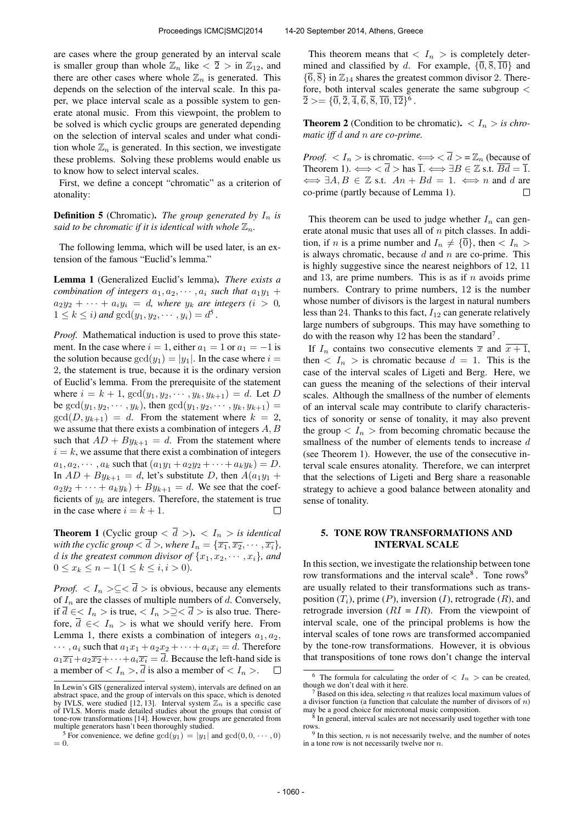are cases where the group generated by an interval scale is smaller group than whole  $\mathbb{Z}_n$  like  $\langle \overline{2} \rangle$  in  $\mathbb{Z}_{12}$ , and there are other cases where whole  $\mathbb{Z}_n$  is generated. This depends on the selection of the interval scale. In this paper, we place interval scale as a possible system to generate atonal music. From this viewpoint, the problem to be solved is which cyclic groups are generated depending on the selection of interval scales and under what condition whole  $\mathbb{Z}_n$  is generated. In this section, we investigate these problems. Solving these problems would enable us to know how to select interval scales.

First, we define a concept "chromatic" as a criterion of atonality:

**Definition 5** (Chromatic). *The group generated by*  $I_n$  *is said to be chromatic if it is identical with whole*  $\mathbb{Z}_n$ *.* 

The following lemma, which will be used later, is an extension of the famous "Euclid's lemma."

Lemma 1 (Generalized Euclid's lemma). *There exists a combination of integers*  $a_1, a_2, \dots, a_i$  *such that*  $a_1y_1 +$  $a_2y_2 + \cdots + a_iy_i = d$ , where  $y_k$  are integers  $(i > 0,$  $1 \leq k \leq i$ *)* and  $gcd(y_1, y_2, \dots, y_i) = d^5$ .

*Proof.* Mathematical induction is used to prove this statement. In the case where  $i = 1$ , either  $a_1 = 1$  or  $a_1 = -1$  is the solution because  $gcd(y_1) = |y_1|$ . In the case where  $i =$ 2, the statement is true, because it is the ordinary version of Euclid's lemma. From the prerequisite of the statement where  $i = k + 1$ ,  $gcd(y_1, y_2, \dots, y_k, y_{k+1}) = d$ . Let D be  $gcd(y_1, y_2, \dots, y_k)$ , then  $gcd(y_1, y_2, \dots, y_k, y_{k+1})$  =  $gcd(D, y_{k+1}) = d$ . From the statement where  $k = 2$ , we assume that there exists a combination of integers A, B such that  $AD + By_{k+1} = d$ . From the statement where  $i = k$ , we assume that there exist a combination of integers  $a_1, a_2, \cdots, a_k$  such that  $(a_1y_1 + a_2y_2 + \cdots + a_ky_k) = D$ . In  $AD + By_{k+1} = d$ , let's substitute D, then  $A(a_1y_1 + b_2y_2)$  $a_2y_2 + \cdots + a_ky_k$  +  $By_{k+1} = d$ . We see that the coefficients of  $y_k$  are integers. Therefore, the statement is true in the case where  $i = k + 1$ .  $\Box$ 

**Theorem 1** (Cyclic group  $\langle \overline{d} \rangle$ ).  $\langle I_n \rangle$  is identical *with the cyclic group*  $\langle \overline{d} \rangle$ *, where*  $I_n = \{ \overline{x_1}, \overline{x_2}, \cdots, \overline{x_i} \}$ *, d is the greatest common divisor of*  $\{x_1, x_2, \dots, x_i\}$ *, and*  $0 \le x_k \le n - 1(1 \le k \le i, i > 0).$ 

*Proof.*  $\langle I_n \rangle \subseteq \langle \overline{d} \rangle$  is obvious, because any elements of  $I_n$  are the classes of multiple numbers of d. Conversely, if  $\overline{d} \in \langle I_n \rangle$  is true,  $\langle I_n \rangle \geq \langle \overline{d} \rangle$  is also true. Therefore,  $\overline{d} \in < I_n >$  is what we should verify here. From Lemma 1, there exists a combination of integers  $a_1, a_2$ ,  $\cdots$ ,  $a_i$  such that  $a_1x_1 + a_2x_2 + \cdots + a_ix_i = d$ . Therefore  $a_1\overline{x_1}+a_2\overline{x_2}+\cdots+a_i\overline{x_i}=\overline{d}$ . Because the left-hand side is a member of  $\langle I_n \rangle$ ,  $\overline{d}$  is also a member of  $\langle I_n \rangle$ .  $\Box$ 

This theorem means that  $\langle I_n \rangle$  is completely determined and classified by d. For example,  $\{\overline{0}, \overline{8}, \overline{10}\}$  and  ${\{\overline{6}, \overline{8}\}}$  in  $\mathbb{Z}_{14}$  shares the greatest common divisor 2. Therefore, both interval scales generate the same subgroup <  $\overline{2} > = \{ \overline{0}, \overline{2}, \overline{4}, \overline{6}, \overline{8}, \overline{10}, \overline{12} \}^6$ .

**Theorem 2** (Condition to be chromatic).  $\langle I_n \rangle$  is chro*matic iff* d *and* n *are co-prime.*

*Proof.*  $\langle I_n \rangle$  is chromatic.  $\Longleftrightarrow \langle \overline{d} \rangle = \mathbb{Z}_n$  (because of Theorem 1).  $\Longleftrightarrow \langle \overline{d} \rangle$  has  $\overline{1}$ .  $\Longleftrightarrow \exists B \in \mathbb{Z}$  s.t.  $\overline{Bd} = \overline{1}$ .  $\iff \exists A, B \in \mathbb{Z}$  s.t.  $An + Bd = 1$ .  $\iff n$  and d are co-prime (partly because of Lemma 1).  $\Box$ 

This theorem can be used to judge whether  $I_n$  can generate atonal music that uses all of  $n$  pitch classes. In addition, if *n* is a prime number and  $I_n \neq {\overline{0}}$ , then  $I_n >$ is always chromatic, because  $d$  and  $n$  are co-prime. This is highly suggestive since the nearest neighbors of 12, 11 and 13, are prime numbers. This is as if  $n$  avoids prime numbers. Contrary to prime numbers, 12 is the number whose number of divisors is the largest in natural numbers less than 24. Thanks to this fact,  $I_{12}$  can generate relatively large numbers of subgroups. This may have something to do with the reason why 12 has been the standard<sup>7</sup>.

If  $I_n$  contains two consecutive elements  $\overline{x}$  and  $\overline{x+1}$ , then  $\langle I_n \rangle$  is chromatic because  $d = 1$ . This is the case of the interval scales of Ligeti and Berg. Here, we can guess the meaning of the selections of their interval scales. Although the smallness of the number of elements of an interval scale may contribute to clarify characteristics of sonority or sense of tonality, it may also prevent the group  $\langle I_n \rangle$  from becoming chromatic because the smallness of the number of elements tends to increase d (see Theorem 1). However, the use of the consecutive interval scale ensures atonality. Therefore, we can interpret that the selections of Ligeti and Berg share a reasonable strategy to achieve a good balance between atonality and sense of tonality.

# 5. TONE ROW TRANSFORMATIONS AND INTERVAL SCALE

In this section, we investigate the relationship between tone row transformations and the interval scale<sup>8</sup>. Tone rows<sup>9</sup> are usually related to their transformations such as transposition  $(T_i)$ , prime  $(P)$ , inversion  $(I)$ , retrograde  $(R)$ , and retrograde inversion  $(RI = IR)$ . From the viewpoint of interval scale, one of the principal problems is how the interval scales of tone rows are transformed accompanied by the tone-row transformations. However, it is obvious that transpositions of tone rows don't change the interval

In Lewin's GIS (generalized interval system), intervals are defined on an abstract space, and the group of intervals on this space, which is denoted<br>by IVLS, were studied [12, 13]. Interval system  $\mathbb{Z}_n$  is a specific case<br>of IVLS. Morris made detailed studies about the groups that consist o tone-row transformations [14]. However, how groups are generated from multiple generators hasn't been thoroughly studied.

<sup>&</sup>lt;sup>5</sup> For convenience, we define  $gcd(y_1) = |y_1|$  and  $gcd(0, 0, \dots, 0)$  $= 0.$ 

The formula for calculating the order of  $\langle I_n \rangle$  can be created, though we don't deal with it here.

Based on this idea, selecting  $n$  that realizes local maximum values of a divisor function (a function that calculate the number of divisors of  $n$ )

may be a good choice for microtonal music composition. 8 In general, interval scales are not necessarily used together with tone rows. 9 In this section, n is not necessarily twelve, and the number of notes

in a tone row is not necessarily twelve nor  $n$ .